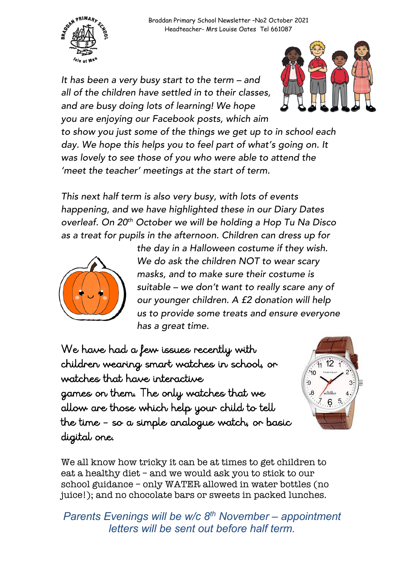

*It has been a very busy start to the term – and all of the children have settled in to their classes, and are busy doing lots of learning! We hope you are enjoying our Facebook posts, which aim* 



*to show you just some of the things we get up to in school each day. We hope this helps you to feel part of what's going on. It was lovely to see those of you who were able to attend the 'meet the teacher' meetings at the start of term.* 

*This next half term is also very busy, with lots of events happening, and we have highlighted these in our Diary Dates overleaf. On 20th October we will be holding a Hop Tu Na Disco as a treat for pupils in the afternoon. Children can dress up for* 



*the day in a Halloween costume if they wish. We do ask the children NOT to wear scary masks, and to make sure their costume is suitable – we don't want to really scare any of our younger children. A £2 donation will help us to provide some treats and ensure everyone has a great time.* 

We have had a few issues recently with children wearing smart watches in school, or watches that have interactive games on them. The only watches that we allow are those which help your child to tell the time – so a simple analogue watch, or basic digital one.



We all know how tricky it can be at times to get children to eat a healthy diet – and we would ask you to stick to our school guidance – only WATER allowed in water bottles (no juice!); and no chocolate bars or sweets in packed lunches.

*Parents Evenings will be w/c 8th November – appointment letters will be sent out before half term.*